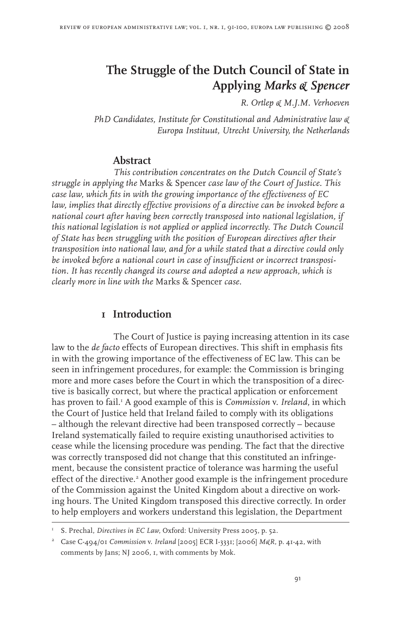# **The Struggle of the Dutch Council of State in Applying** *Marks & Spencer*

*R. Ortlep & M.J.M. Verhoeven*

*PhD Candidates, Institute for Constitutional and Administrative law & Europa Instituut, Utrecht University, the Netherlands*

#### **Abstract**

*This contribution concentrates on the Dutch Council of State's struggle in applying the* Marks & Spencer *case law of the Court of Justice. This case law, which fits in with the growing importance of the effectiveness of EC law, implies that directly effective provisions of a directive can be invoked before a national court after having been correctly transposed into national legislation, if this national legislation is not applied or applied incorrectly. The Dutch Council of State has been struggling with the position of European directives after their transposition into national law, and for a while stated that a directive could only be invoked before a national court in case of insufficient or incorrect transposition. It has recently changed its course and adopted a new approach, which is clearly more in line with the* Marks & Spencer *case.*

## **1 Introduction**

The Court of Justice is paying increasing attention in its case law to the *de facto* effects of European directives. This shift in emphasis fits in with the growing importance of the effectiveness of EC law. This can be seen in infringement procedures, for example: the Commission is bringing more and more cases before the Court in which the transposition of a directive is basically correct, but where the practical application or enforcement has proven to fail. A good example of this is *Commission* v. *Ireland*, in which the Court of Justice held that Ireland failed to comply with its obligations – although the relevant directive had been transposed correctly – because Ireland systematically failed to require existing unauthorised activities to cease while the licensing procedure was pending. The fact that the directive was correctly transposed did not change that this constituted an infringement, because the consistent practice of tolerance was harming the useful effect of the directive.<sup>2</sup> Another good example is the infringement procedure of the Commission against the United Kingdom about a directive on working hours. The United Kingdom transposed this directive correctly. In order to help employers and workers understand this legislation, the Department

I S. Prechal, *Directives in EC Law*, Oxford: University Press 2005, p. 52.

 Case C-494/01 *Commission* v. *Ireland* [2005] ECR I-3331; [2006] *M&R*, p. 41-42, with comments by Jans; NJ 2006, 1, with comments by Mok.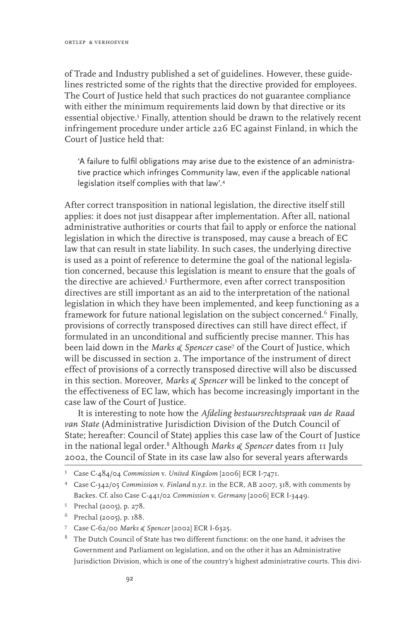of Trade and Industry published a set of guidelines. However, these guidelines restricted some of the rights that the directive provided for employees. The Court of Justice held that such practices do not guarantee compliance with either the minimum requirements laid down by that directive or its essential objective.<sup>3</sup> Finally, attention should be drawn to the relatively recent infringement procedure under article 226 EC against Finland, in which the Court of Justice held that:

'A failure to fulfil obligations may arise due to the existence of an administrative practice which infringes Community law, even if the applicable national legislation itself complies with that law'.

After correct transposition in national legislation, the directive itself still applies: it does not just disappear after implementation. After all, national administrative authorities or courts that fail to apply or enforce the national legislation in which the directive is transposed, may cause a breach of EC law that can result in state liability. In such cases, the underlying directive is used as a point of reference to determine the goal of the national legislation concerned, because this legislation is meant to ensure that the goals of the directive are achieved.<sup>5</sup> Furthermore, even after correct transposition directives are still important as an aid to the interpretation of the national legislation in which they have been implemented, and keep functioning as a framework for future national legislation on the subject concerned.<sup>6</sup> Finally, provisions of correctly transposed directives can still have direct effect, if formulated in an unconditional and sufficiently precise manner. This has been laid down in the *Marks & Spencer* case<sup>7</sup> of the Court of Justice, which will be discussed in section 2. The importance of the instrument of direct effect of provisions of a correctly transposed directive will also be discussed in this section. Moreover, *Marks & Spencer* will be linked to the concept of the effectiveness of EC law, which has become increasingly important in the case law of the Court of Justice.

It is interesting to note how the *Afdeling bestuursrechtspraak van de Raad van State* (Administrative Jurisdiction Division of the Dutch Council of State; hereafter: Council of State) applies this case law of the Court of Justice in the national legal order. Although *Marks & Spencer* dates from 11 July 2002, the Council of State in its case law also for several years afterwards

 $6$  Prechal (2005), p.  $188$ .

Case C-484/04 *Commission* v. *United Kingdom* [2006] ECR I-7471.

Case C-342/05 *Commission* v. *Finland* n.y.r. in the ECR, AB 2007, 318, with comments by Backes. Cf. also Case C-441/02 *Commission* v. *Germany* [2006] ECR I-3449.

Prechal (2005), p. 278.

 Case C-62/00 *Marks & Spencer* [2002] ECR I-6325.

 $8$  The Dutch Council of State has two different functions: on the one hand, it advises the Government and Parliament on legislation, and on the other it has an Administrative Jurisdiction Division, which is one of the country's highest administrative courts. This divi-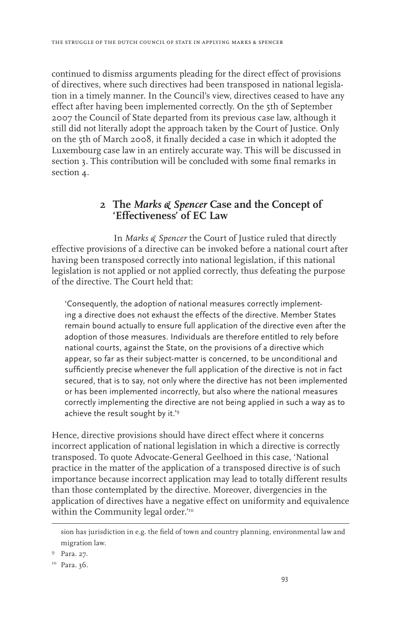continued to dismiss arguments pleading for the direct effect of provisions of directives, where such directives had been transposed in national legislation in a timely manner. In the Council's view, directives ceased to have any effect after having been implemented correctly. On the 5th of September 2007 the Council of State departed from its previous case law, although it still did not literally adopt the approach taken by the Court of Justice. Only on the 5th of March 2008, it finally decided a case in which it adopted the Luxembourg case law in an entirely accurate way. This will be discussed in section 3. This contribution will be concluded with some final remarks in section 4.

## **2 The** *Marks & Spencer* **Case and the Concept of 'Effectiveness' of EC Law**

In *Marks & Spencer* the Court of Justice ruled that directly effective provisions of a directive can be invoked before a national court after having been transposed correctly into national legislation, if this national legislation is not applied or not applied correctly, thus defeating the purpose of the directive. The Court held that:

'Consequently, the adoption of national measures correctly implementing a directive does not exhaust the effects of the directive. Member States remain bound actually to ensure full application of the directive even after the adoption of those measures. Individuals are therefore entitled to rely before national courts, against the State, on the provisions of a directive which appear, so far as their subject-matter is concerned, to be unconditional and sufficiently precise whenever the full application of the directive is not in fact secured, that is to say, not only where the directive has not been implemented or has been implemented incorrectly, but also where the national measures correctly implementing the directive are not being applied in such a way as to achieve the result sought by it.<sup>'9</sup>

Hence, directive provisions should have direct effect where it concerns incorrect application of national legislation in which a directive is correctly transposed. To quote Advocate-General Geelhoed in this case, 'National practice in the matter of the application of a transposed directive is of such importance because incorrect application may lead to totally different results than those contemplated by the directive. Moreover, divergencies in the application of directives have a negative effect on uniformity and equivalence within the Community legal order."<sup>10</sup>

<sup>9</sup> Para. 27.

sion has jurisdiction in e.g. the field of town and country planning, environmental law and migration law.

<sup>&</sup>lt;sup>10</sup> Para. 36.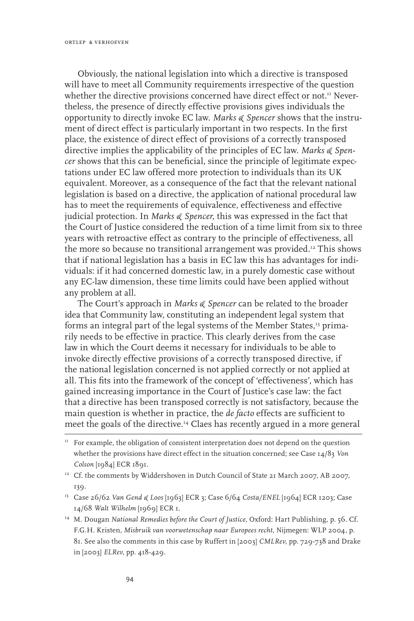Obviously, the national legislation into which a directive is transposed will have to meet all Community requirements irrespective of the question whether the directive provisions concerned have direct effect or not.<sup>11</sup> Nevertheless, the presence of directly effective provisions gives individuals the opportunity to directly invoke EC law. *Marks & Spencer* shows that the instrument of direct effect is particularly important in two respects. In the first place, the existence of direct effect of provisions of a correctly transposed directive implies the applicability of the principles of EC law. *Marks & Spencer* shows that this can be beneficial, since the principle of legitimate expectations under EC law offered more protection to individuals than its UK equivalent. Moreover, as a consequence of the fact that the relevant national legislation is based on a directive, the application of national procedural law has to meet the requirements of equivalence, effectiveness and effective judicial protection. In *Marks & Spencer*, this was expressed in the fact that the Court of Justice considered the reduction of a time limit from six to three years with retroactive effect as contrary to the principle of effectiveness, all the more so because no transitional arrangement was provided.<sup>12</sup> This shows that if national legislation has a basis in EC law this has advantages for individuals: if it had concerned domestic law, in a purely domestic case without any EC-law dimension, these time limits could have been applied without any problem at all.

The Court's approach in *Marks & Spencer* can be related to the broader idea that Community law, constituting an independent legal system that forms an integral part of the legal systems of the Member States,13 primarily needs to be effective in practice. This clearly derives from the case law in which the Court deems it necessary for individuals to be able to invoke directly effective provisions of a correctly transposed directive, if the national legislation concerned is not applied correctly or not applied at all. This fits into the framework of the concept of 'effectiveness', which has gained increasing importance in the Court of Justice's case law: the fact that a directive has been transposed correctly is not satisfactory, because the main question is whether in practice, the *de facto* effects are sufficient to meet the goals of the directive.14 Claes has recently argued in a more general

- 13 Case 26/62 *Van Gend & Loos* [1963] ECR 3; Case 6/64 *Costa/ENEL* [1964] ECR 1203; Case 14/68 *Walt Wilhelm* [1969] ECR 1.
- 14 M. Dougan *National Remedies before the Court of Justice*, Oxford: Hart Publishing, p. 56. Cf. F.G.H. Kristen, *Misbruik van voorwetenschap naar Europees recht*, Nijmegen: WLP 2004, p. 81. See also the comments in this case by Ruffert in [2003] *CMLRev*, pp. 729-738 and Drake in [2003] *ELRev*, pp. 418-429.

 $11$  For example, the obligation of consistent interpretation does not depend on the question whether the provisions have direct effect in the situation concerned; see Case 14/83 *Von Colson* [1984] ECR 1891.

<sup>&</sup>lt;sup>12</sup> Cf. the comments by Widdershoven in Dutch Council of State 21 March 2007, AB 2007, 139.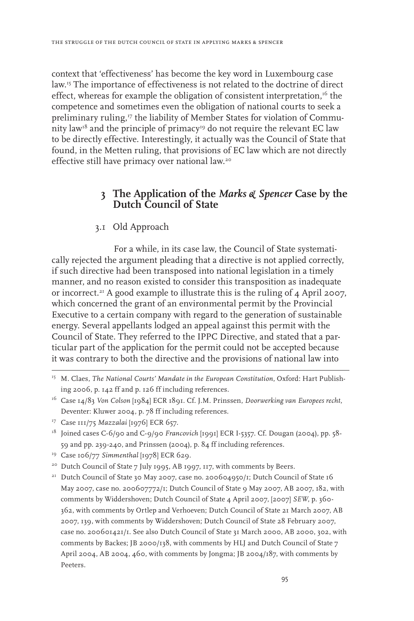context that 'effectiveness' has become the key word in Luxembourg case law.15 The importance of effectiveness is not related to the doctrine of direct effect, whereas for example the obligation of consistent interpretation, $16$  the competence and sometimes even the obligation of national courts to seek a preliminary ruling,<sup>17</sup> the liability of Member States for violation of Community law<sup>18</sup> and the principle of primacy<sup>19</sup> do not require the relevant EC law to be directly effective. Interestingly, it actually was the Council of State that found, in the Metten ruling, that provisions of EC law which are not directly effective still have primacy over national law.20

## **3 The Application of the** *Marks & Spencer* **Case by the Dutch Council of State**

#### 3.1 Old Approach

For a while, in its case law, the Council of State systematically rejected the argument pleading that a directive is not applied correctly, if such directive had been transposed into national legislation in a timely manner, and no reason existed to consider this transposition as inadequate or incorrect.<sup>21</sup> A good example to illustrate this is the ruling of  $\mu$  April 2007, which concerned the grant of an environmental permit by the Provincial Executive to a certain company with regard to the generation of sustainable energy. Several appellants lodged an appeal against this permit with the Council of State. They referred to the IPPC Directive, and stated that a particular part of the application for the permit could not be accepted because it was contrary to both the directive and the provisions of national law into

<sup>15</sup> M. Claes, *The National Courts' Mandate in the European Constitution*, Oxford: Hart Publishing 2006, p. 142 ff and p. 126 ff including references.

<sup>16</sup> Case 14/83 *Von Colson* [1984] ECR 1891. Cf. J.M. Prinssen, *Doorwerking van Europees recht*, Deventer: Kluwer 2004, p. 78 ff including references.

<sup>17</sup> Case 111/75 *Mazzalai* [1976] ECR 657.

<sup>&</sup>lt;sup>18</sup> Joined cases C-6/90 and C-9/90 *Francovich* [1991] ECR I-5357. Cf. Dougan (2004), pp. 58-59 and pp. 239-240, and Prinssen (2004), p. 84 ff including references.

<sup>&</sup>lt;sup>19</sup> Case 106/77 Simmenthal [1978] ECR 629.

<sup>&</sup>lt;sup>20</sup> Dutch Council of State 7 July 1995, AB 1997, 117, with comments by Beers.

<sup>&</sup>lt;sup>21</sup> Dutch Council of State 30 May 2007, case no. 200604950/1; Dutch Council of State 16 May 2007, case no. 200607772/1; Dutch Council of State 9 May 2007, AB 2007, 182, with comments by Widdershoven; Dutch Council of State 4 April 2007, [2007] *SEW*, p. 360- 362, with comments by Ortlep and Verhoeven; Dutch Council of State 21 March 2007, AB 2007, 139, with comments by Widdershoven; Dutch Council of State 28 February 2007, case no. 200601421/1. See also Dutch Council of State 31 March 2000, AB 2000, 302, with comments by Backes; JB 2000/138, with comments by HLJ and Dutch Council of State 7 April 2004, AB 2004, 460, with comments by Jongma; JB 2004/187, with comments by Peeters.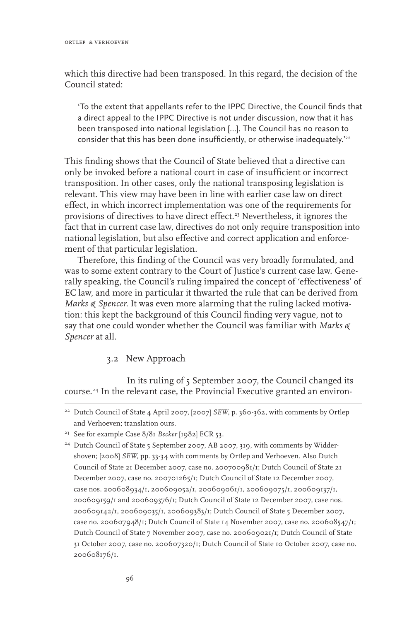which this directive had been transposed. In this regard, the decision of the Council stated:

'To the extent that appellants refer to the IPPC Directive, the Council finds that a direct appeal to the IPPC Directive is not under discussion, now that it has been transposed into national legislation […]. The Council has no reason to consider that this has been done insufficiently, or otherwise inadequately.'<sup>22</sup>

This finding shows that the Council of State believed that a directive can only be invoked before a national court in case of insufficient or incorrect transposition. In other cases, only the national transposing legislation is relevant. This view may have been in line with earlier case law on direct effect, in which incorrect implementation was one of the requirements for provisions of directives to have direct effect.<sup>23</sup> Nevertheless, it ignores the fact that in current case law, directives do not only require transposition into national legislation, but also effective and correct application and enforcement of that particular legislation.

Therefore, this finding of the Council was very broadly formulated, and was to some extent contrary to the Court of Justice's current case law. Generally speaking, the Council's ruling impaired the concept of 'effectiveness' of EC law, and more in particular it thwarted the rule that can be derived from *Marks & Spencer*. It was even more alarming that the ruling lacked motivation: this kept the background of this Council finding very vague, not to say that one could wonder whether the Council was familiar with *Marks & Spencer* at all.

#### 3.2 New Approach

In its ruling of 5 September 2007, the Council changed its course.<sup>24</sup> In the relevant case, the Provincial Executive granted an environ-

<sup>&</sup>lt;sup>22</sup> Dutch Council of State 4 April 2007, [2007] *SEW*, p. 360-362, with comments by Ortlep and Verhoeven; translation ours.

<sup>23</sup> See for example Case 8/81 *Becker* [1982] ECR 53.

<sup>&</sup>lt;sup>24</sup> Dutch Council of State 5 September 2007, AB 2007, 319, with comments by Widdershoven; [2008] *SEW*, pp. 33-34 with comments by Ortlep and Verhoeven. Also Dutch Council of State 21 December 2007, case no. 200700981/1; Dutch Council of State 21 December 2007, case no. 200701265/1; Dutch Council of State 12 December 2007, case nos. 200608934/1, 200609052/1, 200609061/1, 200609075/1, 200609137/1, 200609159/1 and 200609376/1; Dutch Council of State 12 December 2007, case nos. 200609142/1, 200609035/1, 200609383/1; Dutch Council of State 5 December 2007, case no. 200607948/1; Dutch Council of State 14 November 2007, case no. 200608547/1; Dutch Council of State 7 November 2007, case no. 200609021/1; Dutch Council of State 31 October 2007, case no. 200607320/1; Dutch Council of State 10 October 2007, case no. 200608176/1.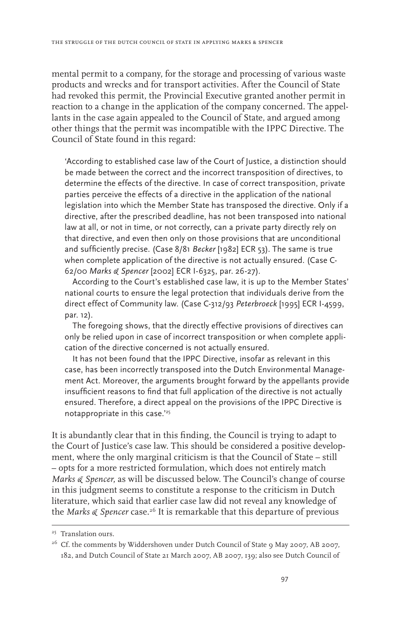mental permit to a company, for the storage and processing of various waste products and wrecks and for transport activities. After the Council of State had revoked this permit, the Provincial Executive granted another permit in reaction to a change in the application of the company concerned. The appellants in the case again appealed to the Council of State, and argued among other things that the permit was incompatible with the IPPC Directive. The Council of State found in this regard:

'According to established case law of the Court of Justice, a distinction should be made between the correct and the incorrect transposition of directives, to determine the effects of the directive. In case of correct transposition, private parties perceive the effects of a directive in the application of the national legislation into which the Member State has transposed the directive. Only if a directive, after the prescribed deadline, has not been transposed into national law at all, or not in time, or not correctly, can a private party directly rely on that directive, and even then only on those provisions that are unconditional and sufficiently precise. (Case 8/81 *Becker* [1982] ECR 53). The same is true when complete application of the directive is not actually ensured. (Case C-62/00 *Marks & Spencer* [2002] ECR I-6325, par. 26-27).

According to the Court's established case law, it is up to the Member States' national courts to ensure the legal protection that individuals derive from the direct effect of Community law. (Case C-312/93 *Peterbroeck* [1995] ECR I-4599, par. 12).

The foregoing shows, that the directly effective provisions of directives can only be relied upon in case of incorrect transposition or when complete application of the directive concerned is not actually ensured.

It has not been found that the IPPC Directive, insofar as relevant in this case, has been incorrectly transposed into the Dutch Environmental Management Act. Moreover, the arguments brought forward by the appellants provide insufficient reasons to find that full application of the directive is not actually ensured. Therefore, a direct appeal on the provisions of the IPPC Directive is notappropriate in this case.<sup>'25</sup>

It is abundantly clear that in this finding, the Council is trying to adapt to the Court of Justice's case law. This should be considered a positive development, where the only marginal criticism is that the Council of State – still – opts for a more restricted formulation, which does not entirely match *Marks & Spencer*, as will be discussed below. The Council's change of course in this judgment seems to constitute a response to the criticism in Dutch literature, which said that earlier case law did not reveal any knowledge of the *Marks & Spencer* case.<sup>26</sup> It is remarkable that this departure of previous

<sup>25</sup> Translation ours.

<sup>&</sup>lt;sup>26</sup> Cf. the comments by Widdershoven under Dutch Council of State 9 May 2007, AB 2007, 182, and Dutch Council of State 21 March 2007, AB 2007, 139; also see Dutch Council of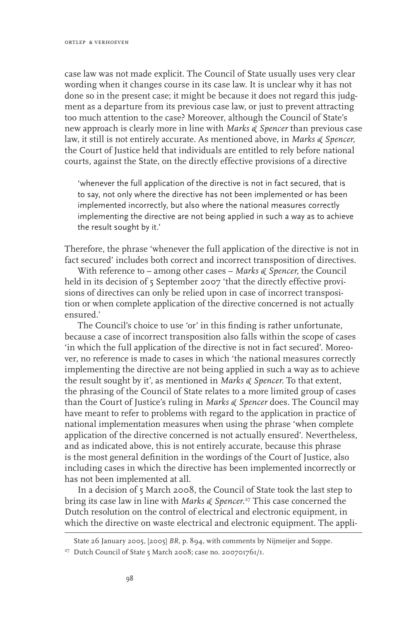case law was not made explicit. The Council of State usually uses very clear wording when it changes course in its case law. It is unclear why it has not done so in the present case; it might be because it does not regard this judgment as a departure from its previous case law, or just to prevent attracting too much attention to the case? Moreover, although the Council of State's new approach is clearly more in line with *Marks & Spencer* than previous case law, it still is not entirely accurate. As mentioned above, in *Marks & Spencer*, the Court of Justice held that individuals are entitled to rely before national courts, against the State, on the directly effective provisions of a directive

'whenever the full application of the directive is not in fact secured, that is to say, not only where the directive has not been implemented or has been implemented incorrectly, but also where the national measures correctly implementing the directive are not being applied in such a way as to achieve the result sought by it.'

Therefore, the phrase 'whenever the full application of the directive is not in fact secured' includes both correct and incorrect transposition of directives.

With reference to – among other cases – *Marks & Spencer*, the Council held in its decision of 5 September 2007 'that the directly effective provisions of directives can only be relied upon in case of incorrect transposition or when complete application of the directive concerned is not actually ensured.'

The Council's choice to use 'or' in this finding is rather unfortunate, because a case of incorrect transposition also falls within the scope of cases 'in which the full application of the directive is not in fact secured'. Moreover, no reference is made to cases in which 'the national measures correctly implementing the directive are not being applied in such a way as to achieve the result sought by it', as mentioned in *Marks & Spencer*. To that extent, the phrasing of the Council of State relates to a more limited group of cases than the Court of Justice's ruling in *Marks & Spencer* does. The Council may have meant to refer to problems with regard to the application in practice of national implementation measures when using the phrase 'when complete application of the directive concerned is not actually ensured'. Nevertheless, and as indicated above, this is not entirely accurate, because this phrase is the most general definition in the wordings of the Court of Justice, also including cases in which the directive has been implemented incorrectly or has not been implemented at all.

In a decision of 5 March 2008, the Council of State took the last step to bring its case law in line with *Marks & Spencer.*<sup>27</sup> This case concerned the Dutch resolution on the control of electrical and electronic equipment, in which the directive on waste electrical and electronic equipment. The appli-

State 26 January 2005, [2005] *BR*, p. 894, with comments by Nijmeijer and Soppe.

<sup>&</sup>lt;sup>27</sup> Dutch Council of State 5 March 2008; case no. 200701761/1.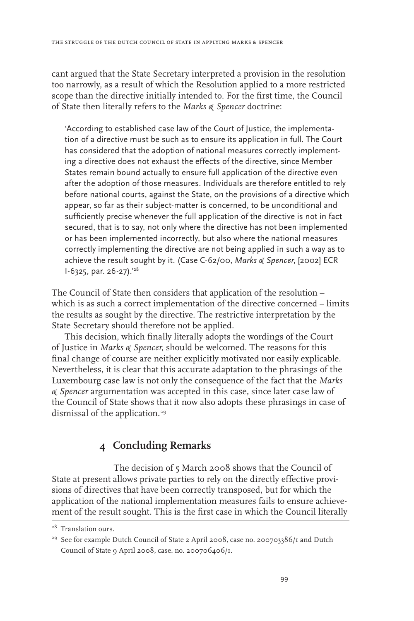cant argued that the State Secretary interpreted a provision in the resolution too narrowly, as a result of which the Resolution applied to a more restricted scope than the directive initially intended to. For the first time, the Council of State then literally refers to the *Marks & Spencer* doctrine:

'According to established case law of the Court of Justice, the implementation of a directive must be such as to ensure its application in full. The Court has considered that the adoption of national measures correctly implementing a directive does not exhaust the effects of the directive, since Member States remain bound actually to ensure full application of the directive even after the adoption of those measures. Individuals are therefore entitled to rely before national courts, against the State, on the provisions of a directive which appear, so far as their subject-matter is concerned, to be unconditional and sufficiently precise whenever the full application of the directive is not in fact secured, that is to say, not only where the directive has not been implemented or has been implemented incorrectly, but also where the national measures correctly implementing the directive are not being applied in such a way as to achieve the result sought by it. (Case C-62/00, *Marks & Spencer*, [2002] ECR I-6325, par. 26-27).'28

The Council of State then considers that application of the resolution – which is as such a correct implementation of the directive concerned – limits the results as sought by the directive. The restrictive interpretation by the State Secretary should therefore not be applied.

This decision, which finally literally adopts the wordings of the Court of Justice in *Marks & Spencer*, should be welcomed. The reasons for this final change of course are neither explicitly motivated nor easily explicable. Nevertheless, it is clear that this accurate adaptation to the phrasings of the Luxembourg case law is not only the consequence of the fact that the *Marks & Spencer* argumentation was accepted in this case, since later case law of the Council of State shows that it now also adopts these phrasings in case of dismissal of the application.<sup>29</sup>

## **4 Concluding Remarks**

The decision of 5 March 2008 shows that the Council of State at present allows private parties to rely on the directly effective provisions of directives that have been correctly transposed, but for which the application of the national implementation measures fails to ensure achievement of the result sought. This is the first case in which the Council literally

<sup>&</sup>lt;sup>28</sup> Translation ours.

<sup>&</sup>lt;sup>29</sup> See for example Dutch Council of State 2 April 2008, case no. 200703386/1 and Dutch Council of State 9 April 2008, case. no. 200706406/1.